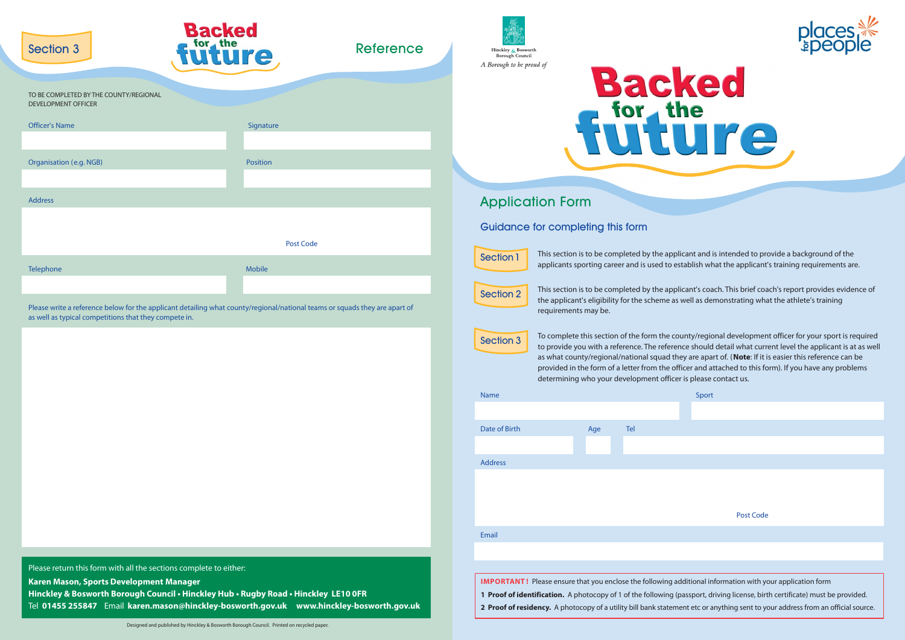| <b>Section 3</b>                                                     | <b>Backed<br/>Future</b> | <b>Reference</b> | Hinckley & Bosworth<br><b>Borough Council</b><br>A Borough to be proud of |
|----------------------------------------------------------------------|--------------------------|------------------|---------------------------------------------------------------------------|
| TO BE COMPLETED BY THE COUNTY/REGIONAL<br><b>DEVELOPMENT OFFICER</b> |                          |                  |                                                                           |
| <b>Officer's Name</b>                                                | Signature                |                  |                                                                           |
|                                                                      |                          |                  |                                                                           |
| <b>Organisation (e.g. NGB)</b>                                       | Position                 |                  |                                                                           |
|                                                                      |                          |                  |                                                                           |
| <b>Address</b>                                                       |                          |                  | <b>Applicatio</b>                                                         |
|                                                                      |                          |                  | <b>Guidance for</b>                                                       |
|                                                                      | <b>Post Code</b>         |                  | Thi                                                                       |
| Telephone                                                            | Mobile                   |                  | Section 1<br>ap                                                           |
|                                                                      |                          |                  | Thi<br>Section 2                                                          |

Please write a reference below for the applicant detailing what county/regional/national teams or squads they are apart of as well as typical competitions that they compete in.

## ion Form

Please return this form with all the sections complete to either:

**Karen Mason, Sports Development Manager**

**Hinckley & Bosworth Borough Council • Hinckley Hub • Rugby Road • Hinckley LE10 0FR**  Tel **01455 255847** Email **karen.mason@hinckley-bosworth.gov.uk www.hinckley-bosworth.gov.uk**





Section 3

for completing this form

This section is to be completed by the applicant and is intended to provide a background of the applicants sporting career and is used to establish what the applicant's training requirements are.

Section 2 requirements may be.

| <b>Name</b>                                                                                                                      |     |            | Sport                                                                                                            |
|----------------------------------------------------------------------------------------------------------------------------------|-----|------------|------------------------------------------------------------------------------------------------------------------|
|                                                                                                                                  |     |            |                                                                                                                  |
| Date of Birth                                                                                                                    | Age | <b>Tel</b> |                                                                                                                  |
|                                                                                                                                  |     |            |                                                                                                                  |
| <b>Address</b>                                                                                                                   |     |            |                                                                                                                  |
|                                                                                                                                  |     |            |                                                                                                                  |
|                                                                                                                                  |     |            |                                                                                                                  |
|                                                                                                                                  |     |            |                                                                                                                  |
|                                                                                                                                  |     |            | Post Code                                                                                                        |
| Email                                                                                                                            |     |            |                                                                                                                  |
|                                                                                                                                  |     |            |                                                                                                                  |
|                                                                                                                                  |     |            |                                                                                                                  |
|                                                                                                                                  |     |            | <b>IMPORTANT!</b> Please ensure that you enclose the following additional information with your application form |
| 1 Proof of identification. A photocopy of 1 of the following (passport, driving license, birth certificate) must be provided.    |     |            |                                                                                                                  |
| 2 Proof of residency. A photocopy of a utility bill bank statement etc or anything sent to your address from an official source. |     |            |                                                                                                                  |

This section is to be completed by the applicant's coach. This brief coach's report provides evidence of the applicant's eligibility for the scheme as well as demonstrating what the athlete's training

To complete this section of the form the county/regional development officer for your sport is required to provide you with a reference. The reference should detail what current level the applicant is at as well as what county/regional/national squad they are apart of. (**Note**: If it is easier this reference can be provided in the form of a letter from the officer and attached to this form). If you have any problems determining who your development officer is please contact us.